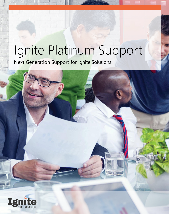## Ignite Platinum Support

Next Generation Support for Ignite Solutions

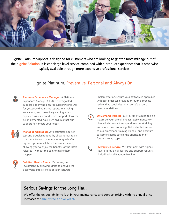

Ignite Platinum Support is designed for customers who are looking to get the most mileage out of their Ignite Solution. It is concierge level service combined with a product experience that is otherwise typically available through more expensive professional services.

## Ignite Platinum. Preventive, Personal and AlwaysOn.



**Platinum Experience Manager:** A Platinum Experience Manager (PEM) is a designated support leader who ensures support works well for you, providing status reports, managing escalations, and proactively alerting you to expected issues around which support plans can be implemented. Your PEM ensures that our support fully meets your needs.



**Managed Upgrades:** Save countless hours in test and troubleshooting by allowing our team of experts to assist you in your upgrade. Our rigorous process will take the headache out, allowing you to enjoy the benefits of the latest releases - without the pain to make them happen.



**Solution Health Check:** Maximize your investment by allowing Ignite to analyze the quality and effectiveness of your software

implementation. Ensure your software is optimized with best practices provided through a process review that concludes with Ignite's expert recommendations.

**OnDemand Training: Just-in-time training to help** maximize your overall impact. Easily inductnew hires which means they spend less timetraining and more time producing. Get unlimited access to our onDemand training videos –and Platinum customers participate in the prioritization of future training topics.



**Always On Service:** VIP Treatment with highest level priority on all feature and support requests including local Platinum Hotline.

## Serious Savings for the Long Haul.

We offer the unique ability to lock in your maintenance and support pricing with no annual price increases for one, three or five years.